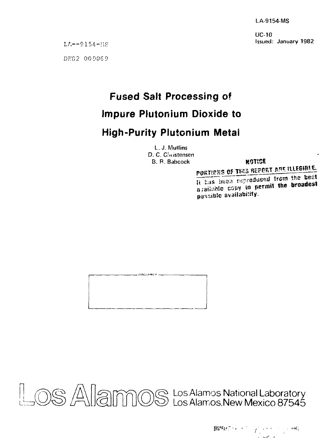LA-9154-MS

UC-10 Issued: January 1982

LA—9154-IIS

*DE82* 00D06 9

# **Fused Salt Processing of**

## **Impure Plutonium Dioxide to**

## **High-Purity Plutonium Metal**

L. J. Mullins D. C. Cinistensen B. R. Babcock **NOTICE** 

## POKTIPNS OF THIS REFORT ARE ILLEGIBLE.

li has inten reproduced from the best a<sub>jaiinite</sub> copy to permit the broadest pussible availability.



Los Alamos National Laboratory Los Alamos,New Mexico 87545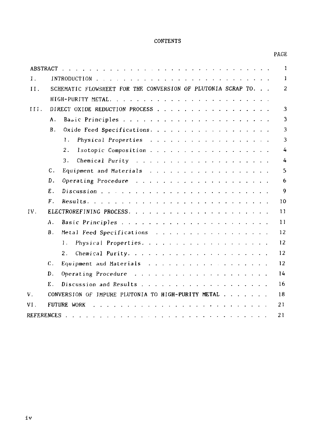#### CONTENTS

### PAGE

|       |                |                                                                                                                                                                                                                                                            | $\mathbf{1}$      |
|-------|----------------|------------------------------------------------------------------------------------------------------------------------------------------------------------------------------------------------------------------------------------------------------------|-------------------|
| $I$ . |                |                                                                                                                                                                                                                                                            | 1                 |
| II.   |                | SCHEMATIC FLOWSHEET FOR THE CONVERSION OF PLUTONIA SCRAP TO.                                                                                                                                                                                               | 2                 |
|       |                |                                                                                                                                                                                                                                                            |                   |
| III.  |                | DIRECT OXIDE REDUCTION PROCESS                                                                                                                                                                                                                             | 3                 |
|       | Α.             |                                                                                                                                                                                                                                                            | 3                 |
|       | B.             | Oxide Feed Specifications.                                                                                                                                                                                                                                 | 3                 |
|       |                | Physical Properties<br>1.                                                                                                                                                                                                                                  | 3                 |
|       |                | 2.<br>Isotopic Composition                                                                                                                                                                                                                                 | 4                 |
|       |                | 3.                                                                                                                                                                                                                                                         | 4                 |
|       | $\mathbf{c}$ . | Equipment and Materials                                                                                                                                                                                                                                    | 5                 |
|       | D.             |                                                                                                                                                                                                                                                            | 6                 |
|       | Е.             | Discussion                                                                                                                                                                                                                                                 | 9                 |
|       | $\mathbf{F}$ . |                                                                                                                                                                                                                                                            | 10                |
| IV.   |                |                                                                                                                                                                                                                                                            | 11                |
|       | Α.             |                                                                                                                                                                                                                                                            | 11                |
|       | <b>B</b> .     | Metal Feed Specifications                                                                                                                                                                                                                                  | 12                |
|       |                | Physical Properties.<br>1.                                                                                                                                                                                                                                 | 12                |
|       |                | 2.                                                                                                                                                                                                                                                         | $12 \overline{ }$ |
|       | $C_{\pm}$      | Equipment and Materials                                                                                                                                                                                                                                    | 12                |
|       | D.             |                                                                                                                                                                                                                                                            | 14                |
|       | Е.             |                                                                                                                                                                                                                                                            | 16                |
| ν.    |                | CONVERSION OF IMPURE PLUTONIA TO HIGH-PURITY METAL                                                                                                                                                                                                         | 18                |
| VI.   |                | <b>FUTURE WORK</b><br><u>. In the second contract of the second contract of the second contract of the second contract of the second contract of the second contract of the second contract of the second contract of the second contract of the secon</u> | 21                |
|       |                |                                                                                                                                                                                                                                                            | 21                |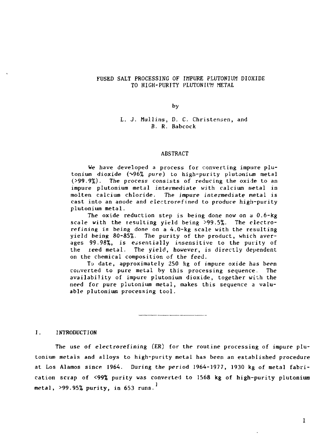#### FUSED SALT PROCESSING OF IMPURE PLUTONIUM DIOXIDE TO HIGH-PURITY PLUTONIUM METAL

by

#### L. J. Mullins, D. C. Christenaen, and B. R. Babcock

#### ABSTRACT

We have developed a process for converting impure plutonium dioxide ( $\sqrt{96\%}$  pure) to high-purity plutonium metal (>99.9%). The process consists of reducing the oxide to an impure plutonium metal intermediate with calcium metal in molten calcium chloride. The impure intermediate metal is cast into an anode and electrorefined to produce high-purity plutonium metal.

The oxide reduction step is being done now on a  $0.6$ -kg scale with the resulting yield being >99.5%. The electrorefining is being done on a 4.0-kg scale with the resulting yield being 80-85%. The purity of the product, which averages 99.98%, is essentially insensitive to the purity of the ieed metal. The yield, however, is directly dependent on the chemical composition of the feed.

To date, approximately 250 kg of impure oxide has been converted to pure metal by this processing sequence. The availability of impure plutonium dioxide, together with the need for pure plutonium metal, makes this sequence a valuable plutonium processing tool.

#### I. INTRODUCTION

The use of electrorefining (ER) for the routine processing of impure plutonium metals and alloys to high-purity metal has been an established procedure at Los Alamos since 1964. During the period 1964-1977, 1930 kg of metal fabrication scrap of <99% purity was converted to 1568 kg of high-purity plutonium metal,  $>99.95\%$  purity, in 653 runs.<sup>1</sup>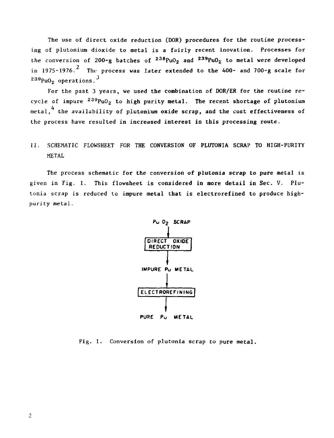The use of direct oxide reduction (DOR) procedures for the routine processing of plutonium dioxide to metal is a fairly recent inovation. Processes for the conversion of 200-g batches of  $^{238}$ PuO<sub>2</sub> and  $^{239}$ PuO<sub>2</sub> to metal were developed in 1975-1976.<sup>2</sup> The process was later extended to the  $400-$  and  $700-g$  scale for  $239$  PuO<sub>2</sub> operations.<sup>3</sup>

For the past 3 years, we used the combination of DOR/ER for the routine recycle of impure <sup>239</sup>PuO<sub>2</sub> to high purity metal. The recent shortage of plutonium metal,  $4$  the availability of plutonium oxide scrap, and the cost effectiveness of the process have resulted in increased interest in this processing route.

## II. SCHEMATIC FLOWSHEET FOR **THE CONVERSION OF PLUTONIA SCRAP TO HIGH-PURITY**  METAL

The process schematic for the conversion of plutonia scrap to pure metal is given in Fig. 1. This flowsheet is considered in more detail in Sec. V. Plutonia scrap is reduced to impure metal that is electrorefined to produce highpurity metal.



Fig. 1. Conversion of plutonia scrap to pure metal.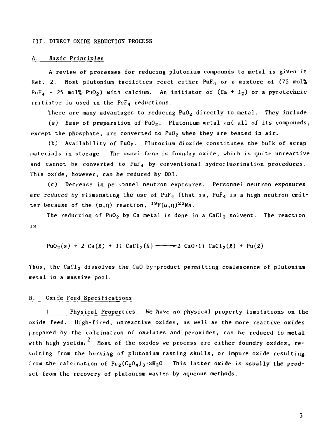#### III. DIRECT OXIDE REDUCTION PROCESS

### A. Basic Principles

A review of processes for reducing plutonium compounds to metal is given in Ref. 2. Most plutonium facilities react either PuF<sub>4</sub> or a mixture of (75 mol%)  $PuF_4$  - 25 mol% PuO<sub>2</sub>) with calcium. An initiator of (Ca + I<sub>2</sub>) or a pyrotechnic initiator is used in the  $PuF_4$  reductions.

There are many advantages to reducing  $PuO<sub>2</sub>$  directly to metal. They include

(a) Ease of preparation of  $PuO<sub>2</sub>$ . Plutonium metal and all of its compounds, except the phosphate, are converted to  $PuO<sub>2</sub>$  when they are heated in air.

(b) Availability of  $PuO<sub>2</sub>$ . Plutonium dioxide constitutes the bulk of scrap materials in storage. The usual form is foundry oxide, which is quite unreactive and cannot be converted to  $PuF_4$  by conventional hydrofluorination procedures. This oxide, however, can be reduced by DOR.

(c) Decrease in persinnel neutron exposures. Personnel neutron exposures are reduced by eliminating the use of  $PuF_4$  (that is,  $PuF_4$  is a high neutron emitter because of the  $(\alpha, \eta)$  reaction,  $^{19}F(\alpha, \eta)$ <sup>22</sup>Na.

The reduction of PuO<sub>2</sub> by Ca metal is done in a CaCl<sub>2</sub> solvent. The reaction is

 $PuO_2(s) + 2 Ca(\ell) + 11 CaCl_2(\ell) \longrightarrow 2 CaO \cdot 11 CaCl_2(\ell) + Pu(\ell)$ 

Thus, the  $CaCl<sub>2</sub>$  dissolves the CaO by-product permitting coalescence of plutonium metal in a massive pool.

#### B. Oxide Feed Specifications

1. Physical Properties. We have no physical property limitations on the oxide feed. High-fired, unreactive oxides, as well as the more reactive oxides prepared by the calcination of oxalates and peroxides, can be reduced to metal with high yields.  $^2$  Most of the oxides we process are either foundry oxides, resulting from the burning of plutonium casting skulls, or impure oxide resulting from the calcination of  $Pu_2(C_2O_4)_3 \cdot xH_2O$ . This latter oxide is usually the product from the recovery of plutonium wastes by aqueous methods.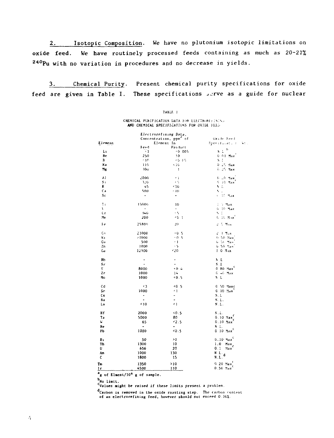2. Isotopic Composition. We have no plutonium isotopic limitations on oxide feed. We have routinely processed feeds containing as much as 20-21% <sup>240</sup>Pu with no variation in procedures and no decrease in yields.

3\_. Chemical Purity. Present chemical purity specifications for oxide feed are given in Table I. These specifications serve as a guide for nuclear

TABLE I

#### CHEMICAL PURIFICATION DATA FOR LLECTRORE: INTHE AND CHEMICAL SPECIFICATIONS FOR OXJDE FEED

|         | Electrorefining Data,    |                          |                                          |
|---------|--------------------------|--------------------------|------------------------------------------|
|         |                          | Concentration, ppm" of   | Uxide Feed                               |
| Element |                          | Element In               | Specification ()<br>Ъt.,                 |
|         | Feed                     | Product                  |                                          |
| L١      | Ä1                       | 0.005                    | ţ,<br>NЬ                                 |
| Be      | 250                      | y0                       | 0 01 Max                                 |
| B       | 110                      | 76 OS                    | N.                                       |
| Кa      |                          |                          |                                          |
|         | 119                      | -10                      | $0/25$ Max                               |
| Мg      | 100                      | $\mathbf{1}$             | G. 25 Max                                |
| A l     | 2000                     | Υì                       | 6. LO Max                                |
| S:      | 326                      | $\epsilon$ $\zeta$       | $6-10$ Max                               |
| ĸ       | $-5$                     | 410                      | N.L                                      |
| Cа      | 500                      | $+10$                    | $\mathcal{C}(\mathcal{A})$               |
| Sc      | $\blacksquare$           | $\blacksquare$           | v. 10 Hax                                |
| 1:      | 15000                    | 10                       | 1. S. Max                                |
| ŧ.      | $\blacksquare$           | ۰                        | G. 10 Max                                |
| ٤r      | 140                      | ÷S.                      | N.S                                      |
| . In    | 200                      | <0 1                     | G. IL MIK                                |
| ŀг      | 25800                    | 20                       | ようせん                                     |
| Çо      | 23000                    | <b>KO</b> 5              | 2 3 Max                                  |
| N1      | >1000                    | 0.5                      | 0.50 Max                                 |
| Сu      | 500                      | $\cdot$ 1                | <b>U</b> Strillan                        |
| Zn      | 1000                     | $+5$                     | G 50 Sex                                 |
| Ga      | 12900                    | <20                      | $1.0$ $M_{1}x$                           |
| RЬ      | -                        | ٠                        | N.L                                      |
| Sr      | $\blacksquare$           | -                        | S.1                                      |
| Ÿ       | 8000                     | 0.4                      | $0.80$ Max <sup>c</sup>                  |
| Zr      | 1000                     | 14                       | G 46 Max                                 |
|         |                          |                          |                                          |
| M٥      | 1000                     | 0.5                      | N.L                                      |
| Cd      | - 13                     | 40.5                     | 0 50 Махс                                |
| Sr      | 1000                     | 41                       | $0.10$ Max                               |
| Сs      | $\bullet$                | ۰                        | S.1                                      |
| Ba      |                          | ۰                        | N.L.                                     |
| La      | 510                      | <1                       | N.L.                                     |
| Hf      | 2000                     | 5.0.5                    | N.L.                                     |
| Ta      | 5000                     | 80                       | $0.10$ $\text{Max}$                      |
| w       | 65                       | 42.5                     | $0.10$ Max                               |
| Re      | $\overline{\phantom{a}}$ | $\overline{\phantom{0}}$ | N.L.                                     |
| PЪ      | 1000                     | 40.5                     | $0, 10, \text{Max}^{\mathbb{C}}$         |
| Bı      | 50                       | >1                       | $0.10$ Мах $^{\mathfrak{c}}$             |
| Тh      | 1300                     | 10                       | 1.0                                      |
| υ       | 656                      | 20                       | Hax.<br>0. 1<br>Max                      |
| Am      |                          | 130                      |                                          |
| c       | 1000                     |                          | $\frac{N}{N}$ , $\frac{L}{L}$ , $\alpha$ |
|         | 1800                     | 15                       |                                          |
| Тm      | 1350                     | >10                      | $0, 20$ Max                              |
| Ir      | 4500                     | 110                      | $0.50$ $\text{Ha}x^0$                    |

**g** of Elment/10<sup>6</sup> g of sample.

b<br>No limit.

CValues might be raised if these limits present a problem.

d<sub>Carbon</sub> is removed in the oxide roasting step. The carbon content of an electrorefining feed, however should not exceed 0.3&%.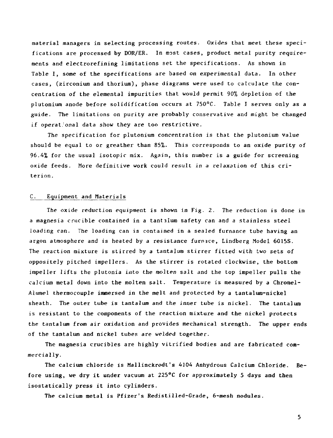material managers in selecting processing routes. Oxides that meet these specifications are processed by DOR/ER. In most cases, product metal purity requirements and electrorefining limitations set the specifications. As shown in Table I, some of the specifications are based on experimental data. In other cases, (zirconium and thorium), phase diagrams were used to calculate the concentration of the elemental impurities that would permit 90% depletion of the plutonium anode before solidification occurs at 75O°C. Table I serves only as a guide. The limitations on purity are probably conservative and might be changed if operational data show they are too restrictive.

The specification for plutonium concentration is that the plutonium value should be equal to or greather than 85%. This corresponds to an oxide purity of 96.4% for the usual isotopir mix. Again, this number is a guide for screening oxide feeds. More definitive work could result in a relaxation of this criterion.

#### C. Equipment and Materials

The oxide reduction equipment is shown in Fig. 2. The reduction is done in a magnesia crucible contained in a tantalum safety can and a stainless steel loading can. The loading can is contained in a sealed furnance tube having an argon atmosphere and is heated by a resistance furnace, Lindberg Model 6015S. The reaction mixture is stirred by a tantalum stirrer fitted with two sets of oppositely pitched impellers. As the stirrer is rotated clockwise, the bottom impeller lifts the plutonia into the molten salt and the top impeller pulls the calcium metal down into the molten salt. Temperature is measured by a Chromel-Alumel thermocouple immersed in the melt and protected by a tantalum-nickel sheath. The outer tube is tantalum and the inner tube is nickel. The tantalum is resistant to the components of the reaction mixture and the nickel protects the tantalum from air oxidation and provides mechanical strength. The upper ends of the tantalum and nickel tubes are welded together.

The magnesia crucibles are highly vitrified bodies and are fabricated com mercially.

The calcium chloride is Mallinckrodt's 4104 Anhydrous Calcium Chloride. Before using, we dry it under vacuum at 225°C for approximately 5 days and then isostatically press it into cylinders.

The calcium metal is Pfizer's Redistilled-Grade, 6-mesh nodules.

5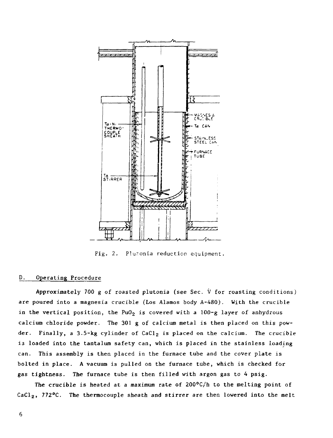

Fig. 2. Plutonia reduction equipment.

#### D. Operating Procedure

Approximately 700 g of roasted plutonia (see Sec.  $\dot{V}$  for roasting conditions) are poured into a magnesia crucible (Los Alamos body A-480). With the crucible in the vertical position, the PuO<sub>2</sub> is covered with a 100-g layer of anhydrous calcium chloride powder. The 301 g of calcium metal is then placed on this powder. Finally, a 3.5-kg cylinder of  $CaCl<sub>2</sub>$  is placed on the calcium. The crucible is loaded into the tantalum safety can, which is placed in the stainless loading can. This assembly is then placed in the furnace tube and the cover plate is bolted in place. A vacuum is pulled on the furnace tube, which is checked for gas tightness. The furnace tube is then filled with argon gas to 4 psig.

The crucible is heated at a maximum rate of  $200^{\circ}C/h$  to the melting point of CaCl<sub>2</sub>, 772°C. The thermocouple sheath and stirrer are then lowered into the melt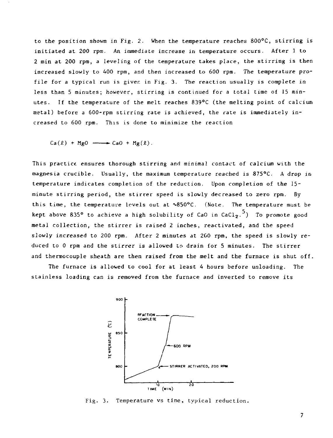to the position shown in Fig. 2. When the temperature reaches 800°C, stirring is initiated at 200 rpm. An immediate increase in temperature occurs. After 1 to 2 min at 200 rpm, a leveling of the temperature takes place, the stirring is then increased slowly to 400 rpm, and then increased to 600 rpm. The temperature profile for a typical run is given in Fig. 3. The reaction usually is complete in less than 5 minutes; however, stirring is continued for a total time of 15 minutes. If the temperature of the melt reaches 839°C (the melting point of calcium metal) before a 600-rpm stirring rate is achieved, the rate is immediately increased to 600 rpm. This is done to minimize the reaction

 $Ca(l) + MgO \longrightarrow CaO + Mg(l)$ .

This practice, ensures thorough stirring and minimal contact of calcium with the magnesia crucible. Usually, the maximum temperature reached is 875°C. A drop in temperature indicates completion of the reduction. Upon completion of the 15 minute stirring period, the stirrer speed is slowly decreased to zero rpm. By this time, the temperature levels out at  $\sim 850^{\circ}$ C. (Note. The temperature must be kept above 835° to achieve a high solubility of CaO in CaCl<sub>2</sub>.<sup>5</sup>) To promote good metal collection, the stirrer is raised 2 inches, reactivated, and the speed slowly increased to 200 rpm. After 2 minutes at 200 rpm, the speed is slowly reduced to 0 rpm and the stirrer is allowed to drain for 5 minutes. The stirrer and thermocouple sheath are then raised from the melt and the furnace is shut off.

The furnace is allowed to cool for at least 4 hours before unloading. The stainless loading can is removed from the furnace and inverted to remove its



Fig. 3. Temperature vs time, typical reduction.

 $\overline{7}$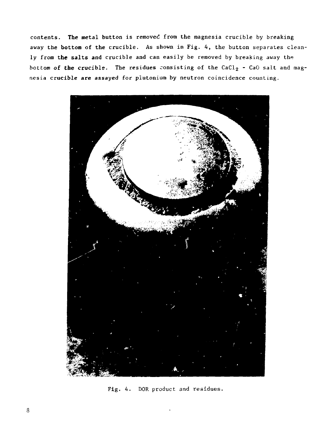contents. **The** metal button is removed from the magnesia crucible by breaking away the bottom of the crucible. As shown in Fig. 4, the button separates cleanly from **the salts** and crucible and can easily be removed by breaking away the bottom of the crucible. The residues consisting of the CaCl<sub>2</sub> - CaO salt and magnesia crucible are assayed for piutonium by neutron coincidence counting.



Fig. 4. DOR product and residues.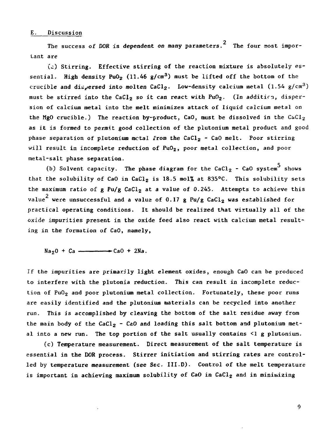#### E. Discussion

The success of DOR is dependent on many parameters.<sup>2</sup> The four most impor-The success of  $D$  is dependent on many parameters. The four system on  $\mathcal{D}_\mathcal{D}$ 

(a) Stirring. Effective stirring of the reaction mixture is absolutely  $es$ sential. High density  $PuO_2$  (11.46 g/cm<sup>3</sup>) must be lifted off the bottom of the crucible and dispersed into molten CaCl<sub>2</sub>. Low-density calcium metal  $(1.54 \text{ g/cm}^3)$ must be stirred into the CaCl<sub>2</sub> so it can react with PuO<sub>2</sub>. (In addition, dispersion of calcium metal into the melt minimizes attack of liquid calcium metal on the MgO crucible.) The reaction by-product, CaO, must be dissolved in the  $CaCl<sub>2</sub>$ as it is formed to permit good collection of the plutonium metal product and good phase separation of plutonium metal from the CaCl<sub>2</sub> - CaO melt. Poor stirring will result in incomplete reduction of  $PuO<sub>2</sub>$ , poor metal collection, and poor metal-salt phase separation.

metal-salt phase separation.  $\mathcal{L}$  Solvent capacity. The phase diagram for the capacity. The phase diagram for the  $C$ that the solubility of CaO in CaCl<sub>2</sub> is 18.5 mol% at 835°C. This solubility sets<br>the maximum ratio of g Pu/g CaCl<sub>2</sub> at a value of 0.245. Attempts to achieve this value $^2$  were unsuccessful and a value of 0.17 g Pu/g CaCl<sub>2</sub> was established for value were unsuccessful and a valua of 0.17 g Pu/g CaCl2 was established for practical operating conditions. It should be realized that virtually all of the oxide impurities present in the oxide feed also react with calcium metal resulting in the formation of CaO, namely,

 $Na<sub>2</sub>0 + Ca$   $\longrightarrow$  CaO + 2Na.

If the impurities are primarily light element oxides, enough CaO can be produced to interfere with the plutonia reduction. This can result in incomplete reduction of PuO<sub>2</sub> and poor plutonium metal collection. Fortunately, these poor runs are easily identified and the plutonium materials can be recycled into another run. This is accomplished by cleaving the bottom of the salt residue away from the main body of the CaCl<sub>2</sub> - CaO and loading this salt bottom and plutonium metal into a new run. The top portion of the salt usually contains <1 g plutonium.

(c) Temperature measurement. Direct measurement of the salt temperature is essential in the DOR process. Stirrer initiation and stirring rates are controlled by temperature measurement (see Sec. III.D). Control of the melt temperature is important in achieving maximum solubility of CaO in CaCl<sub>2</sub> and in minimizing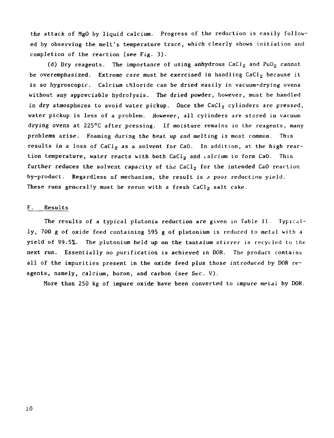the attack of MgO by liquid calcium. Progress of the reduction is easily followed by observing the melt's temperature trace, which clearly shows initiation and completion of the reaction (see Fig. 3).

(d) Dry reagents. The importance of using anhydrous  $CaCl<sub>2</sub>$  and PuO<sub>2</sub> cannot be overemphasized. Extreme care must be exercised in handling  $CaCl<sub>2</sub>$  because it is so hygroscopic. Calcium chloride can be dried easily in vacuum-drying ovens without any appreciable hydrolysis. The dried powder, however, must be handled in dry atmospheres to avoid water pickup. Once the CaCl<sub>2</sub> cylinders are pressed, water pickup is less of a problem. However, all cylinders are stored in vacuum drying ovens at 225°C after pressing. If moisture remains in the reagents, many problems arise. Foaming during the heat up and melting is most common. This results in a loss of  $CaCl<sub>2</sub>$  as a solvent for  $CaO$ . In addition, at the high reaction temperature, water reacts with both CaCl<sub>2</sub> and calcium to form CaO. This further reduces the solvent capacity of the CaCl<sub>2</sub> for the intended CaO reaction by-product. Regardless of mechanism, the result is a poor reduction yield. These runs generally must be rerun with a fresh CaCl<sub>2</sub> salt cake.

#### F. Results

The results of a typical plutonia reduction are given in Table II. Typically, 700 g of oxide feed containing 595 g of plutonium is reduced to metal with a yield of 99.5%. The plutonium held up on the tantalum stirrer is recycled to the next run. Essentially no purification is achieved in DOR. The product contains. all of the impurities present in the oxide feed plus those introduced by DOR reagents, namely, calcium, boron, and carbon (see Sec. V).

More than 250 kg of impure oxide have been converted to impure metal by DOR.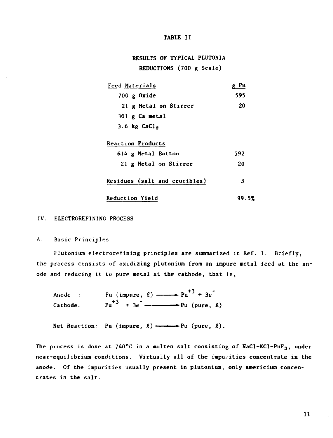#### **TABLE II**

## **RESULTS OF TYPICAL PLUTONIA REDUCTIONS (700 g Scale)**

| Feed Materials                | - Pu  |  |
|-------------------------------|-------|--|
| 700 g Oxide                   | 595   |  |
| 21 g Metal on Stirrer         | 20    |  |
| $301 \times$ Ca metal         |       |  |
| 3.6 $kg$ CaCl <sub>2</sub>    |       |  |
| <b>Reaction Products</b>      |       |  |
| 614 g Metal Button            | 592   |  |
| 21 g Metal on Stirrer         | 20    |  |
| Residues (salt and crucibles) | 3     |  |
| <b>Reduction Yield</b>        | 99.5% |  |

#### **IV. ELECTROREFINING PROCESS**

#### A. Basic Principles

**Plutonium electrorefining principles are summarized in Ref. 1. Briefly, the process consists of oxidizing plutonium from an impure metal feed at the an ode and reducing it to pure metal at. the cathode, that is,** 

Anode : Pu (impure,  $\ell$ )  $\longrightarrow$  Pu<sup>+3</sup> + 3e<sup>-</sup>  $\text{Cathode.}$   $\text{Pu}^{+3}$  +  $3e^{-}$   $\longrightarrow \text{Pu (pure, } \ell)$ 

Net Reaction: Pu (impure,  $\ell$ )  $\longrightarrow$  Pu (pure,  $\ell$ ).

**The process is done at 740°C in a molten salt consisting of NaCl-KCl-PuF3, under near-equilibrium conditions. Virtually all of the impu.ities concentrate in the anode. Of the impurities usually present in plutonimn, only americium concen trates in the salt.**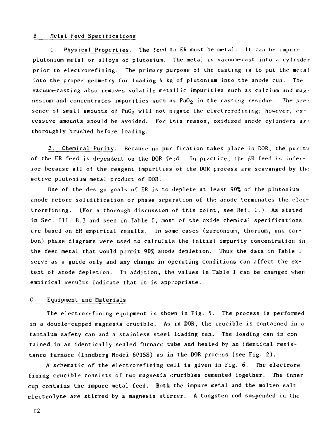#### B Metal Feed Specifications

1. Physical Properties. The feed to ER must be metal. It can be impure plutonium metal or alloys of plutonium. The metal is vacuum-cast into a cylinder prior to electrorefining. The primary purpose of the casting is to put the metal into the proper geometry for loading 4 kg of plutonium into the anode cup. The vacuum-casting also removes volatile metallic impurities such as calcium and magnesium and concentrates impurities such as  $PuO<sub>2</sub>$  in the casting residue. The presence of small amounts of  $PuO<sub>2</sub>$  will not negate the electrorefining; however, excessive amounts should be avoided. For tnis reason, oxidized anode cylinders an' thoroughly brushed before loading.

2. Chemical Purity. Because no purification takes place in DOR, the purity of the ER feed is dependent on the DOR feed. In practice, the ER feed is inferior because all of the reagent impurities of the DOR process are scavanged by the active plutonium metal product of DOR.

One of the design goals of ER is to deplete at least 90% of the plutonium anode before solidification or phase separation of the anode terminates the electrorefining. (For a thorough discussion of this point, see Ref. 1.) As stated in Sec. III. B.3 and seen in Table I, most of the oxide chemical specifications are based on ER empirical results. In some cases (zirconium, thorium, and carbon) phase diagrams were used to calculate the initial impurity concentration in the feed metal that would permit 90% anode depletion. Thus the data in Table I serve as a guide only and any change in operating conditions can affect the extent of anode depletion. In addition, the values in Table I can be changed when empirical results indicate that it is appropriate.

#### C. Equipment and Materials

The electrorefining equipment is shown in Fig. 5. The process is performed in a double-cupped magnesia crucible. As in DOR, the crucible is contained in a tantalum safety can and a stainless steel loading can. The loading can is contained in an identically sealed furnace tube and heated by an identical resistance furnace (Lindberg Model 6015S) as in the DOR process (see Fig. 2).

A schematic of the electrorefining cell is given in Fig. 6. The electrorefining crucible consists of two magnesia crucibles cemented together. The inner cup contains the impure metal feed. Both the impure metal and the molten salt electrolyte are stirred by a magnesia stirrer. A tungsten rod suspended in the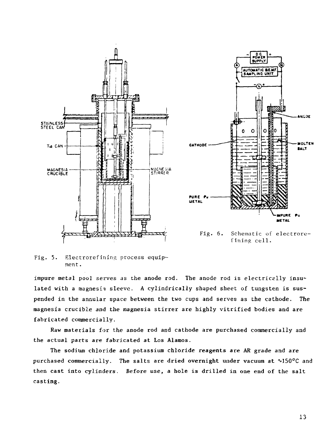

Fig. 5. Electrorefining process equipment .

impure metal pool serves as the anode rod. The anode rod is electrically insulated with a magnesia sleeve. A cylindrically shaped sheet of tungsten is suspended in the annular space between the two cups and serves as the cathode. The magnesia crucible and the magnesia stirrer are highly vitrified bodies and are fabricated commercially.

Raw materials for the anode rod and cathode are purchased commercially and the actual parts are fabricated at Los Alamos.

The sodium chloride and potassium chloride reagents are AR grade and are purchased commercially. The salts are dried overnight under vacuum at  $\sim$ 150°C and then cast into cylinders. Before use, a hole is drilled in one end of the salt casting.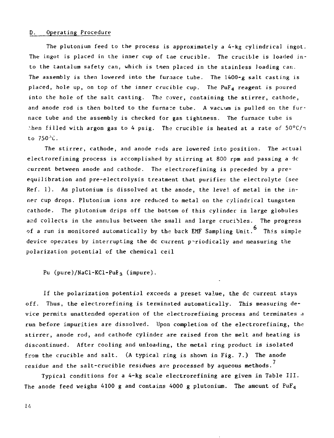#### D. Operating Procedure

The plutonium feed to the process is approximately a  $4-kg$  cylindrical ingot. The ingot is placed in the inner cup of the crucible. The crucible is loaded into the tantalum safety can, which is tnen placed in the stainless loading can. The assembly is then lowered into the fur,ace tube. The  $1400-g$  salt casting is placed, hole up, on top of the inner crucible cup. The  $PuF<sub>4</sub>$  reagent is poured into the hole of the salt casting. The cover, containing the stirrer, cathode, and anode rod is then bolted to the furnare tube. A vacuum is pulled on the furnace tube and the assembly is checked for gas tightness. The furnace tube is then filled with argon gas to 4 psig. The crucible is heated at a rate of  $50^{\circ}$ C/ $\tau$ to  $750$ <sup>3</sup>C.

The stirrer, cathode, and anode rods are lowered into position. The actual electrorefining process is accomplished by stirring at 800 rpm and passing a dc current between anode and cathode. The electrorefining is preceded by a preequilibration and pre-electrolysis treatment that purifies the electrolyte (see Ref. 1). As plutonium is dissolved at the anode, the level of metal in the inner cup drops. Plutonium ions are reduced to metal on the cylindrical tungsten cathode. The plutonium drips off the bottom of this cylinder in large globules and collects in the annulus between the small and large crucibles. The progress of a run is monitored automatically by the back  $EMF$  Sampling Unit.  $^6$  This simple device operates by interrupting the dc current periodically and measuring the polarization potential of the chemical ceil

Pu (pure)/NaCl-KCl-PuF<sub>3</sub> (impure).

If the polarization potential exceeds a preset value, the dc current stays off. Thus, the electrorefining is terminated automatically. This measuring device permits unattended operation of the electrorefining process and terminates a run before impurities are dissolved. Upon completion of the electrorefining, the stirrer, anode rod, and cathode cylinder are raised from the melt and heating is discontinued. After cooling and unloading, the metal ring product is isolated from the crucible and salt. (A typical ring is shown in Fig. 7.) The anode residue and the salt-crucible residues are processed by aqueous methods.<sup>7</sup>

Typical conditions for a A-kg scale electrorefining are given in Table III. The anode feed weighs 4100 g and contains 4000 g plutonium. The amount of PuF<sub>4</sub>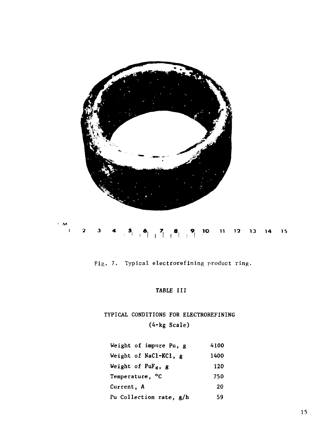

Fig. 7. Typical electrorefining product ring.

## **TABLE III**

## **TYPICAL CONDITIONS FOR ELECTROREFINING (4-kg Scale)**

| Weight of impure Pu, g      | 4100 |
|-----------------------------|------|
| Weight of NaCl-KCl, g       | 1400 |
| Weight of $PuF_4$ , g       | 120  |
| Temperature, <sup>o</sup> C | 750  |
| Current, A                  | 20   |
| Pu Collection rate, g/h     | 59   |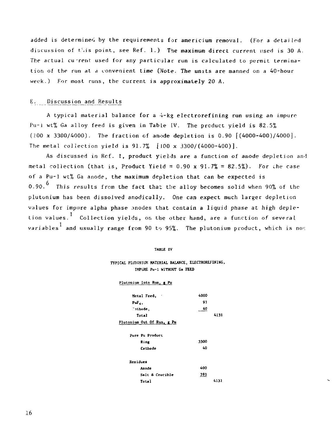added is determined by the requirements for americium removal. (For a detailed discussion of this point, see Ref. 1.) The maximum direct current used is 30 A. The actual current used for any particular run is calculated to permit termination of the run at a convenient time (Note. The units are manned on a 40-hour week.) For most runs, the current is approximately 20 A.

#### E. Discussion and Results

A typical material balance for a 4-kg electrorefining run using an impure Pu-i wt% Ga alloy feed is given in Table  $V$ . The product yield is 82.5% (100 x 3300/4000). The fraction of anode depletion is 0.90 [(4000-400)/4000]. The metal collection yield is  $91.7\%$  [100 x 3300/(4000-400)].

As discussed in Ref. 1, product yields are a function of anode depletion and metal collection (that is, Product Yield =  $0.90 \times 91.7\% = 82.5\%$ ). For the case of a Pu-1 wt% Ga anode, the maximum depletion that can be expected is 0.90. $^{6}$  This results from the fact that the alloy becomes solid when 90% of the plutonium has been dissolved anodically. One can expect much larger depletion values for impure alpha phase anodes that contain a liquid phase at high depletion values.<sup>1</sup> Collection yields, on the other hand, are a function of several variables<sup>1</sup> and usually range from 90 to 95%. The plutonium product, which is no:

#### TABLE IV

#### **TYPICAL PLUTONIUK HATERIAL BALANCE, ELECTROREFINING, IMPURE Pu-1 WITHOUT Ga FEED**

#### Plutonium Into Run, g Pu

| Metal Feed,                | 4000 |      |
|----------------------------|------|------|
| PuF                        | 91   |      |
| ∩thode.                    | 40   |      |
| Total                      |      | 4131 |
| Plutonium Out Of Run, g Pu |      |      |
| Pure Pu Product            |      |      |
| Ring                       | 3300 |      |
| Cathode                    | 40   |      |
| Residues                   |      |      |
| Anode                      | 400  |      |
| Salt & Crucible            | 391  |      |
| Total                      |      | 4131 |
|                            |      |      |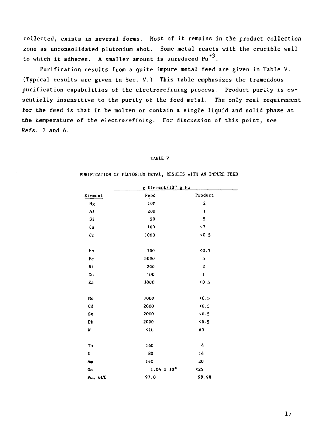collected, exists in several forms. Host of it remains in the product collection zone as unconsolidated plutonium shot. Some metal reacts with the crucible wall to which it adheres. A smaller amount is unreduced  $Pu^{+3}$ .

Purification results from a quite impure metal feed are given in Table V. (Typical results are given in Sec. V.) This table emphasizes the tremendous purification capabilities of the electrorefining process. Product purity is essentially insensitive to the purity of the feed metal. The only real requirement for the feed is that it be molten or contain a single liquid and solid phase at the temperature of the electrorefining. For discussion of this point, see Refs. 1 and 6.

#### TABLE V

|                  | g Element/10 <sup>6</sup> g Pu |                |
|------------------|--------------------------------|----------------|
| Element          | Feed                           | Product        |
| Mg               | 100                            | $\overline{c}$ |
| A1               | 200                            | $\mathbf{1}$   |
| Si               | 50                             | 5              |
| Ca               | 100                            | $\leq$ 3       |
| $c_{\mathbf{r}}$ | 1000                           | $5 - 5$        |
|                  |                                |                |
| Mn               | 100                            | 50.1           |
| Fe               | 5000                           | 5              |
| Ni               | 200                            | $\overline{2}$ |
| Cu               | 100                            | $\mathbf{1}$   |
| Za               | 1000                           | $5 - 5$        |
|                  |                                |                |
| Mo               | 1000                           | 5.0            |
| Cd               | 2000                           | 0.5            |
| S <sub>n</sub>   | 2000                           | 0.5            |
| Pb               | 2000                           | 5.6            |
| W                | < 10                           | 60             |
|                  |                                |                |
| Th               | 140                            | 4              |
| U                | 80                             | 14             |
| Aæ               | 140                            | 20             |
| Ga               | $1.04 \times 10^4$             | $25$           |
| Pn. wt%          | 97.0                           | 99.98          |

#### PURIFICATION OF PLUTONIUM METAL, RESULTS WITH AN IMPURE FEED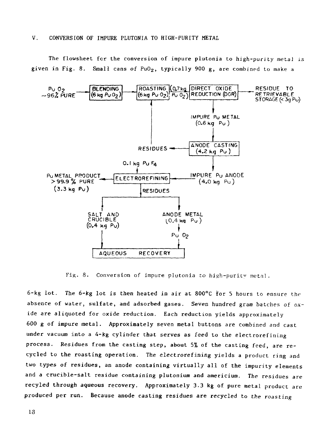The flowsheet fcr the conversion of impure plutonia to high-purity metal is given in Fig. 8. Small cans of PuO<sub>2</sub>, typically 900 g, are combined to make a



Fig. 8. Conversion of impure plutonia to high-puritv metal.

6-kg lot. The 6-kg lot is then heated in air at 800°C for 5 hours to ensure the absence of water, sulfate, and adsorbed gases. Seven hundred gram batches of  $ox$ ide are aliquoted for oxide reduction. Each reduction yields approximately 600 g of impure metal. Approximately seven metal buttons are combined and cast under vacuum into a 4-kg cylinder that serves as feed to the electrorefining process. Residues from the casting step, about 5% of the casting feed, are recycled to the roasting operation. The electrorefining yields a product ring and two types of residues, an anode containing virtually all of the impurity elements and a crucible-salt residue containing plutonium and americium. The residues are recyled through aqueous recovery. Approximately 3.3 kg of pure metal product are produced per run. Because anode casting residues are recycled to the roasting

13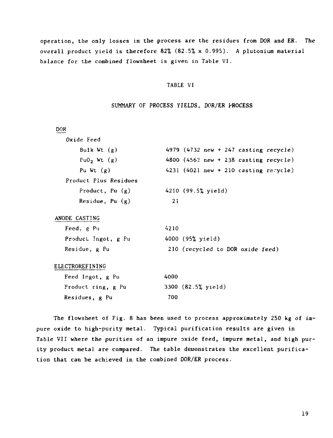operation, the only losses in the process are the residues from DOR and ER. The overall product yield is therefore 82% (82.5% x 0.995). A plutonium material balance for the combined flowsheet is given in Table VI.

#### TABLE VI

#### SUMMARY OF PROCESS YIELDS, DOR/ER PROCESS

| DOR                     |                                                         |
|-------------------------|---------------------------------------------------------|
| Oxide Feed              |                                                         |
| Bulk Wt $(g)$           | 4979 $(4732 \text{ new} + 247 \text{ casting recycle})$ |
| Fu0 <sub>2</sub> Wt (g) | 4800 $(4562 \text{ new} + 238 \text{ casting receive})$ |
| Pu Wt $(g)$             | 4231 $(4021 \text{ new} + 210 \text{ casting receive})$ |
| Product Plus Residues   |                                                         |
| Product, Pu $(g)$       | 4210 (99.5% yield)                                      |
| Residue, $Pu(g)$        | 21                                                      |
| ANODE CASTING           |                                                         |
| Feed, g Pu              | 4210                                                    |
| Product Ingot, g Pu     | 4000 (95% yield)                                        |
| Residue, g Pu           | 210 (recycled to DOR oxide feed)                        |
| ELECTROREFINING         |                                                         |
| Feed Ingot, g Pu        | 4000                                                    |
| Product ring, g Pu      | 3300 (82.5% yield)                                      |
| Residues, g Pu          | 700                                                     |

The flowsheet of Fig. 8 has been used to process approximately 250 kg of impure oxide to high-purity metal. Typical purification results are given in Table VII where the purities of an impure oxide feed, impure metal, and high purity product metal are compared. The table demonstrates the excellent purification that can be achieved in the combined DOR/ER process.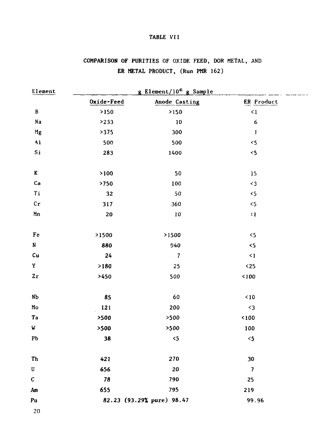#### TABLE VII

## COMPARISON OF PURITIES OF OXIDE FEED, DOR METAL, AND ER METAL PRODUCT, (Run PMR 162)

| Element                 | g Element/10 <sup>6</sup> g Sample |                           |                          |  |
|-------------------------|------------------------------------|---------------------------|--------------------------|--|
|                         | Oxide-Feed                         | Anode Casting             | ER Product               |  |
| $\, {\bf B} \,$         | $>150$                             | >150                      | $\leq 1$                 |  |
| Na                      | >233                               | 10                        | 6                        |  |
| Mg                      | >375                               | 300                       | $\mathbf i$              |  |
| $\mathbf{A} \mathbf{1}$ | 500                                | 500                       | $\leq$                   |  |
| Si                      | 283                                | 1400                      | $<$ 5                    |  |
| K                       | >100                               | 50                        | 15                       |  |
| Ca                      | >750                               | 100                       | $\leq$ 3                 |  |
| Ti                      | 32                                 | 50                        | $5$                      |  |
| $c_{r}$                 | 317                                | 360                       | $\triangleleft$          |  |
| Mn                      | 20                                 | $10\,$                    | $\leq$ 1                 |  |
| Fe                      | >1500                              | >1500                     | 5                        |  |
| $\, {\bf N}$            | 880                                | 940                       | $\leq$                   |  |
| Cu                      | 24                                 | $\overline{7}$            | $\leq$ 1                 |  |
| Y                       | >180                               | 25                        | $25$                     |  |
| 2r                      | >450                               | 500                       | 100                      |  |
| N <sub>b</sub>          | 85                                 | 60                        | $10$                     |  |
| Mo                      | 121                                | 200                       | $\triangleleft$          |  |
| Ta                      | >500                               | >500                      | < 100                    |  |
| W                       | >500                               | >500                      | 100                      |  |
| ${\bf Pb}$              | 38                                 | $\leq$                    | $\leq$                   |  |
| Th                      | 421                                | 270                       | 30                       |  |
| U                       | 656                                | 20                        | $\overline{\phantom{a}}$ |  |
| $\boldsymbol{c}$        | 78                                 | 790                       | 25                       |  |
| Am                      | 655                                | 795                       | 219                      |  |
| Pu                      |                                    | 82.23 (93.29% pure) 98.47 | 99.96                    |  |

20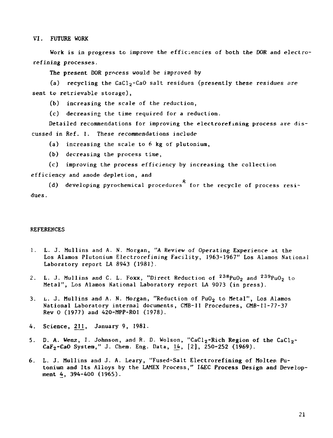VI. FUTURE WORK

Work is in progress to improve the efficiencies of both the DOR and electrorefining processes.

The present DOR process would be improved by

(a) recycling the CaCl<sub>2</sub>-CaO salt residues (presently these residues are sent to retrievable storage),

(b) increasing the scale of the reduction,

(c) decreasing the time required for a reduction.

Detailed recommendations for improving the electrorefining process are discussed in Ref. 1. These recommendations include

(a) increasing the scale to 6 kg of plutonium,

(b) decreasing the process time,

(c) improving the process efficiency by increasing the collection

efficiency and anode depletion, and

(d) developing pyrochemical procedures for the recycle of process residues.

#### **REFERENCES**

- 1. L. J. Mullins and A. N. Morgan, "A Review of Operating Experience at the Los Alamos Plutonium Electrorefining Facility, 1963-1967" Los Alamos National Laboratory report LA 8943 (1981),
- 2. L. J. Mullins and C. L. Foxx, "Direct Reduction of <sup>238</sup>PuO<sub>2</sub> and <sup>239</sup>PuO<sub>2</sub> to Metal", Los Alamos National Laboratory report LA 9073 (in press).
- 3. L. J. Mullins and A. N. Morgan, "Reduction of PuO<sub>2</sub> to Metal", Los Alamos National Laboratory internal documents, CMB-11 Procedures, CMB-11-77-37 Rev 0 (1977) and 420-MPP-R01 (1978).
- 4. Science, 211, January 9, 1981.
- 5. D. A. Wenz, I. Johnson, and R. D. Wolson, "CaCl<sub>2</sub>-Rich Region of the CaCl<sub>2</sub>- $CaF<sub>2</sub>-CaO System, " J. Chem. Eng. Data, 14, [2], 250-252 (1969).$
- 6. L. J. Mullins and J. A. Leary, "Fused-Salt Electrorefining of Molten Putonium and Its Alloys by the LAMEX Process," I&EC Process Design and Development 4, 394-400 (1965).